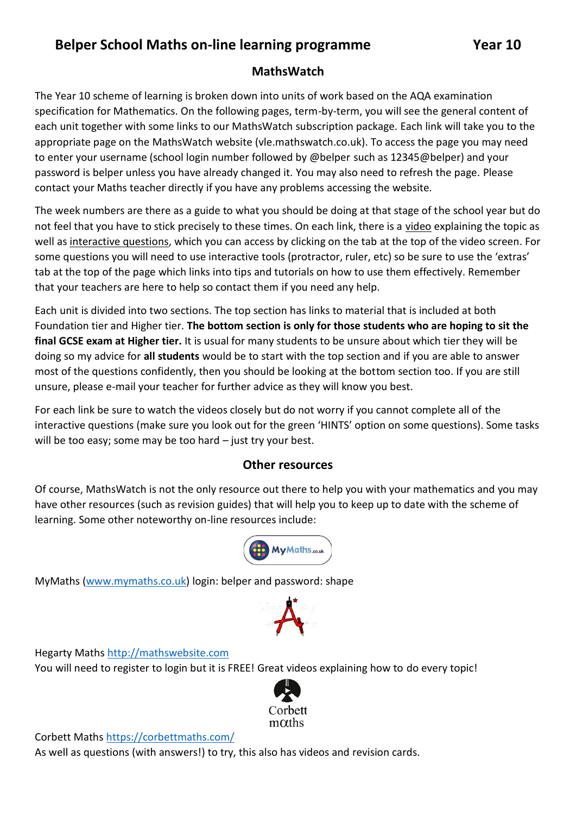## **Belper School Maths on-line learning programme Year 10**

## **MathsWatch**

The Year 10 scheme of learning is broken down into units of work based on the AQA examination specification for Mathematics. On the following pages, term-by-term, you will see the general content of each unit together with some links to our MathsWatch subscription package. Each link will take you to the appropriate page on the MathsWatch website (vle.mathswatch.co.uk). To access the page you may need to enter your username (school login number followed by @belper such as 12345@belper) and your password is belper unless you have already changed it. You may also need to refresh the page. Please contact your Maths teacher directly if you have any problems accessing the website.

The week numbers are there as a guide to what you should be doing at that stage of the school year but do not feel that you have to stick precisely to these times. On each link, there is a video explaining the topic as well as interactive questions, which you can access by clicking on the tab at the top of the video screen. For some questions you will need to use interactive tools (protractor, ruler, etc) so be sure to use the 'extras' tab at the top of the page which links into tips and tutorials on how to use them effectively. Remember that your teachers are here to help so contact them if you need any help.

Each unit is divided into two sections. The top section has links to material that is included at both Foundation tier and Higher tier. **The bottom section is only for those students who are hoping to sit the final GCSE exam at Higher tier.** It is usual for many students to be unsure about which tier they will be doing so my advice for **all students** would be to start with the top section and if you are able to answer most of the questions confidently, then you should be looking at the bottom section too. If you are still unsure, please e-mail your teacher for further advice as they will know you best.

For each link be sure to watch the videos closely but do not worry if you cannot complete all of the interactive questions (make sure you look out for the green 'HINTS' option on some questions). Some tasks will be too easy; some may be too hard – just try your best.

## **Other resources**

Of course, MathsWatch is not the only resource out there to help you with your mathematics and you may have other resources (such as revision guides) that will help you to keep up to date with the scheme of learning. Some other noteworthy on-line resources include:



MyMaths [\(www.mymaths.co.uk\)](http://www.mymaths.co.uk/) login: belper and password: shape



Hegarty Maths [http://mathswebsite.com](http://mathswebsite.com/)

You will need to register to login but it is FREE! Great videos explaining how to do every topic!



Corbett Math[s https://corbettmaths.com/](https://corbettmaths.com/)

As well as questions (with answers!) to try, this also has videos and revision cards.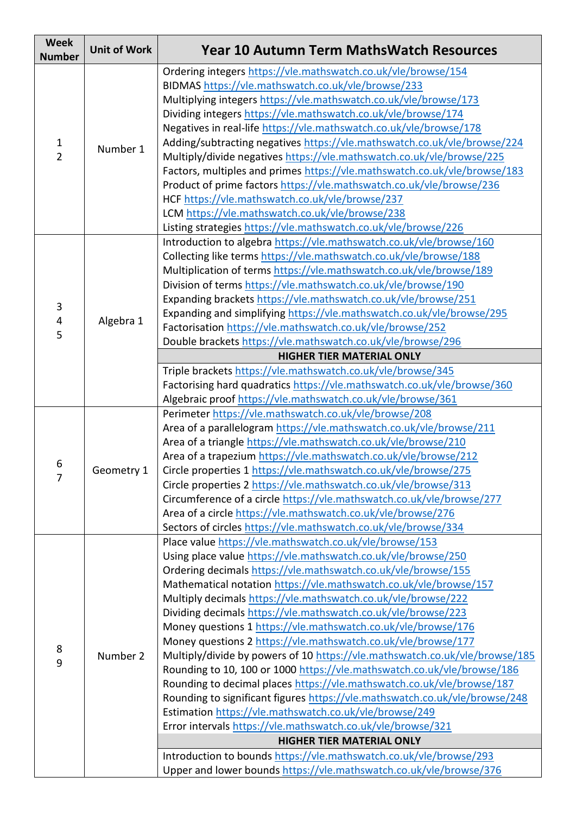| <b>Week</b><br><b>Number</b> | <b>Unit of Work</b> | <b>Year 10 Autumn Term MathsWatch Resources</b>                                                                                       |
|------------------------------|---------------------|---------------------------------------------------------------------------------------------------------------------------------------|
|                              |                     | Ordering integers https://vle.mathswatch.co.uk/vle/browse/154                                                                         |
|                              |                     | BIDMAS https://vle.mathswatch.co.uk/vle/browse/233                                                                                    |
|                              | Number 1            | Multiplying integers https://vle.mathswatch.co.uk/vle/browse/173                                                                      |
|                              |                     | Dividing integers https://vle.mathswatch.co.uk/vle/browse/174                                                                         |
|                              |                     | Negatives in real-life https://vle.mathswatch.co.uk/vle/browse/178                                                                    |
| $\mathbf{1}$                 |                     | Adding/subtracting negatives https://vle.mathswatch.co.uk/vle/browse/224                                                              |
| $\overline{2}$               |                     | Multiply/divide negatives https://vle.mathswatch.co.uk/vle/browse/225                                                                 |
|                              |                     | Factors, multiples and primes https://vle.mathswatch.co.uk/vle/browse/183                                                             |
|                              |                     | Product of prime factors https://vle.mathswatch.co.uk/vle/browse/236                                                                  |
|                              |                     | HCF https://vle.mathswatch.co.uk/vle/browse/237                                                                                       |
|                              |                     | LCM https://vle.mathswatch.co.uk/vle/browse/238                                                                                       |
|                              |                     | Listing strategies https://vle.mathswatch.co.uk/vle/browse/226                                                                        |
|                              |                     | Introduction to algebra https://vle.mathswatch.co.uk/vle/browse/160                                                                   |
|                              |                     | Collecting like terms https://vle.mathswatch.co.uk/vle/browse/188                                                                     |
|                              |                     | Multiplication of terms https://vle.mathswatch.co.uk/vle/browse/189                                                                   |
|                              |                     | Division of terms https://vle.mathswatch.co.uk/vle/browse/190                                                                         |
| 3                            |                     | Expanding brackets https://vle.mathswatch.co.uk/vle/browse/251                                                                        |
| 4                            | Algebra 1           | Expanding and simplifying https://vle.mathswatch.co.uk/vle/browse/295                                                                 |
| 5                            |                     | Factorisation https://vle.mathswatch.co.uk/vle/browse/252                                                                             |
|                              |                     | Double brackets https://vle.mathswatch.co.uk/vle/browse/296                                                                           |
|                              |                     | <b>HIGHER TIER MATERIAL ONLY</b>                                                                                                      |
|                              |                     | Triple brackets https://vle.mathswatch.co.uk/vle/browse/345                                                                           |
|                              |                     | Factorising hard quadratics https://vle.mathswatch.co.uk/vle/browse/360                                                               |
|                              |                     | Algebraic proof https://vle.mathswatch.co.uk/vle/browse/361                                                                           |
|                              |                     | Perimeter https://vle.mathswatch.co.uk/vle/browse/208                                                                                 |
|                              |                     | Area of a parallelogram https://vle.mathswatch.co.uk/vle/browse/211<br>Area of a triangle https://vle.mathswatch.co.uk/vle/browse/210 |
|                              | Geometry 1          |                                                                                                                                       |
| 6                            |                     | Area of a trapezium https://vle.mathswatch.co.uk/vle/browse/212                                                                       |
| $\overline{7}$               |                     | Circle properties 1 https://vle.mathswatch.co.uk/vle/browse/275<br>Circle properties 2 https://vle.mathswatch.co.uk/vle/browse/313    |
|                              |                     | Circumference of a circle https://vle.mathswatch.co.uk/vle/browse/277                                                                 |
|                              |                     | Area of a circle https://vle.mathswatch.co.uk/vle/browse/276                                                                          |
|                              |                     | Sectors of circles https://vle.mathswatch.co.uk/vle/browse/334                                                                        |
|                              |                     | Place value https://vle.mathswatch.co.uk/vle/browse/153                                                                               |
|                              |                     | Using place value https://vle.mathswatch.co.uk/vle/browse/250                                                                         |
|                              |                     | Ordering decimals https://vle.mathswatch.co.uk/vle/browse/155                                                                         |
|                              |                     | Mathematical notation https://vle.mathswatch.co.uk/vle/browse/157                                                                     |
|                              |                     | Multiply decimals https://vle.mathswatch.co.uk/vle/browse/222                                                                         |
|                              |                     | Dividing decimals https://vle.mathswatch.co.uk/vle/browse/223                                                                         |
|                              |                     | Money questions 1 https://vle.mathswatch.co.uk/vle/browse/176                                                                         |
|                              |                     | Money questions 2 https://vle.mathswatch.co.uk/vle/browse/177                                                                         |
| 8                            | Number 2            | Multiply/divide by powers of 10 https://vle.mathswatch.co.uk/vle/browse/185                                                           |
| 9                            |                     | Rounding to 10, 100 or 1000 https://vle.mathswatch.co.uk/vle/browse/186                                                               |
|                              |                     | Rounding to decimal places https://vle.mathswatch.co.uk/vle/browse/187                                                                |
|                              |                     | Rounding to significant figures https://vle.mathswatch.co.uk/vle/browse/248                                                           |
|                              |                     | Estimation https://vle.mathswatch.co.uk/vle/browse/249                                                                                |
|                              |                     | Error intervals https://vle.mathswatch.co.uk/vle/browse/321                                                                           |
|                              |                     | <b>HIGHER TIER MATERIAL ONLY</b>                                                                                                      |
|                              |                     | Introduction to bounds https://vle.mathswatch.co.uk/vle/browse/293                                                                    |
|                              |                     | Upper and lower bounds https://vle.mathswatch.co.uk/vle/browse/376                                                                    |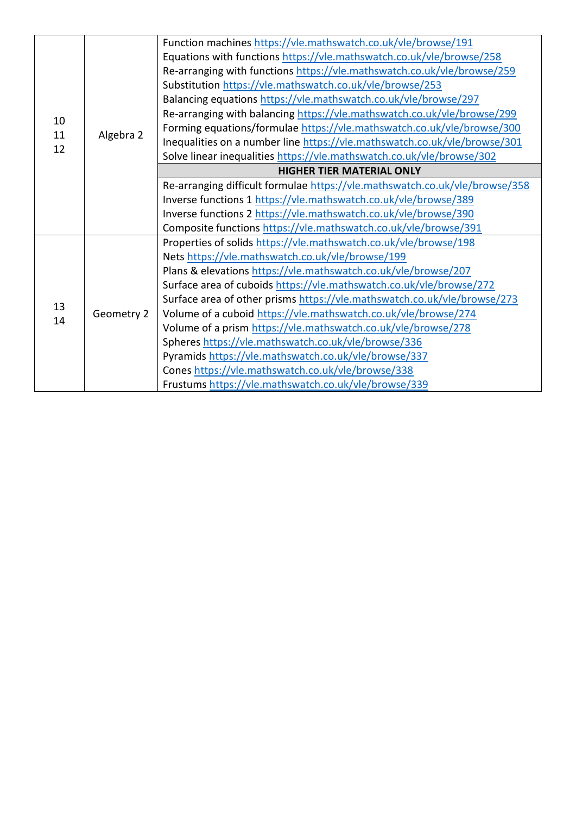| 10       | Algebra 2  | Function machines https://vle.mathswatch.co.uk/vle/browse/191               |
|----------|------------|-----------------------------------------------------------------------------|
|          |            | Equations with functions https://vle.mathswatch.co.uk/vle/browse/258        |
|          |            | Re-arranging with functions https://vle.mathswatch.co.uk/vle/browse/259     |
|          |            | Substitution https://vle.mathswatch.co.uk/vle/browse/253                    |
|          |            | Balancing equations https://vle.mathswatch.co.uk/vle/browse/297             |
|          |            | Re-arranging with balancing https://vle.mathswatch.co.uk/vle/browse/299     |
|          |            | Forming equations/formulae https://vle.mathswatch.co.uk/vle/browse/300      |
| 11<br>12 |            | Inequalities on a number line https://vle.mathswatch.co.uk/vle/browse/301   |
|          |            | Solve linear inequalities https://vle.mathswatch.co.uk/vle/browse/302       |
|          |            | <b>HIGHER TIER MATERIAL ONLY</b>                                            |
|          |            | Re-arranging difficult formulae https://vle.mathswatch.co.uk/vle/browse/358 |
|          |            | Inverse functions 1 https://vle.mathswatch.co.uk/vle/browse/389             |
|          |            | Inverse functions 2 https://vle.mathswatch.co.uk/vle/browse/390             |
|          |            | Composite functions https://vle.mathswatch.co.uk/vle/browse/391             |
|          | Geometry 2 | Properties of solids https://vle.mathswatch.co.uk/vle/browse/198            |
| 13<br>14 |            | Nets https://vle.mathswatch.co.uk/vle/browse/199                            |
|          |            | Plans & elevations https://vle.mathswatch.co.uk/vle/browse/207              |
|          |            | Surface area of cuboids https://vle.mathswatch.co.uk/vle/browse/272         |
|          |            | Surface area of other prisms https://vle.mathswatch.co.uk/vle/browse/273    |
|          |            | Volume of a cuboid https://vle.mathswatch.co.uk/vle/browse/274              |
|          |            | Volume of a prism https://vle.mathswatch.co.uk/vle/browse/278               |
|          |            | Spheres https://vle.mathswatch.co.uk/vle/browse/336                         |
|          |            | Pyramids https://vle.mathswatch.co.uk/vle/browse/337                        |
|          |            | Cones https://vle.mathswatch.co.uk/vle/browse/338                           |
|          |            | Frustums https://vle.mathswatch.co.uk/vle/browse/339                        |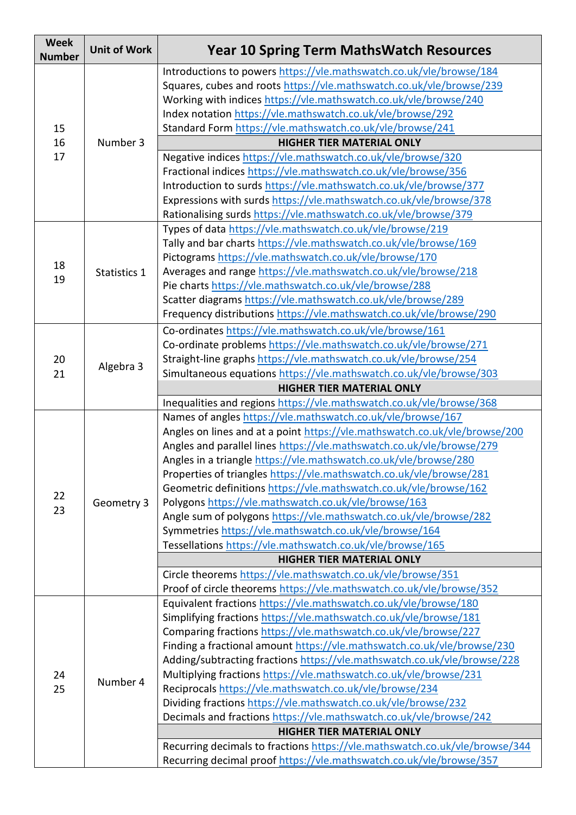| <b>Week</b><br><b>Number</b> | <b>Unit of Work</b> | <b>Year 10 Spring Term MathsWatch Resources</b>                                                                                                                                                                                                                               |
|------------------------------|---------------------|-------------------------------------------------------------------------------------------------------------------------------------------------------------------------------------------------------------------------------------------------------------------------------|
|                              | Number 3            | Introductions to powers https://vle.mathswatch.co.uk/vle/browse/184<br>Squares, cubes and roots https://vle.mathswatch.co.uk/vle/browse/239<br>Working with indices https://vle.mathswatch.co.uk/vle/browse/240<br>Index notation https://vle.mathswatch.co.uk/vle/browse/292 |
| 15                           |                     | Standard Form https://vle.mathswatch.co.uk/vle/browse/241                                                                                                                                                                                                                     |
| 16                           |                     | <b>HIGHER TIER MATERIAL ONLY</b>                                                                                                                                                                                                                                              |
| 17                           |                     | Negative indices https://vle.mathswatch.co.uk/vle/browse/320                                                                                                                                                                                                                  |
|                              |                     | Fractional indices https://vle.mathswatch.co.uk/vle/browse/356                                                                                                                                                                                                                |
|                              |                     | Introduction to surds https://vle.mathswatch.co.uk/vle/browse/377                                                                                                                                                                                                             |
|                              |                     | Expressions with surds https://vle.mathswatch.co.uk/vle/browse/378                                                                                                                                                                                                            |
|                              |                     | Rationalising surds https://vle.mathswatch.co.uk/vle/browse/379                                                                                                                                                                                                               |
|                              | Statistics 1        | Types of data https://vle.mathswatch.co.uk/vle/browse/219                                                                                                                                                                                                                     |
|                              |                     | Tally and bar charts https://vle.mathswatch.co.uk/vle/browse/169                                                                                                                                                                                                              |
| 18                           |                     | Pictograms https://vle.mathswatch.co.uk/vle/browse/170                                                                                                                                                                                                                        |
| 19                           |                     | Averages and range https://vle.mathswatch.co.uk/vle/browse/218                                                                                                                                                                                                                |
|                              |                     | Pie charts https://vle.mathswatch.co.uk/vle/browse/288                                                                                                                                                                                                                        |
|                              |                     | Scatter diagrams https://vle.mathswatch.co.uk/vle/browse/289                                                                                                                                                                                                                  |
|                              |                     | Frequency distributions https://vle.mathswatch.co.uk/vle/browse/290                                                                                                                                                                                                           |
|                              |                     | Co-ordinates https://vle.mathswatch.co.uk/vle/browse/161                                                                                                                                                                                                                      |
|                              |                     | Co-ordinate problems https://vle.mathswatch.co.uk/vle/browse/271                                                                                                                                                                                                              |
| 20                           | Algebra 3           | Straight-line graphs https://vle.mathswatch.co.uk/vle/browse/254                                                                                                                                                                                                              |
| 21                           |                     | Simultaneous equations https://vle.mathswatch.co.uk/vle/browse/303                                                                                                                                                                                                            |
|                              |                     | <b>HIGHER TIER MATERIAL ONLY</b>                                                                                                                                                                                                                                              |
|                              |                     | Inequalities and regions https://vle.mathswatch.co.uk/vle/browse/368                                                                                                                                                                                                          |
|                              |                     | Names of angles https://vle.mathswatch.co.uk/vle/browse/167                                                                                                                                                                                                                   |
|                              |                     | Angles on lines and at a point https://vle.mathswatch.co.uk/vle/browse/200                                                                                                                                                                                                    |
|                              |                     | Angles and parallel lines https://vle.mathswatch.co.uk/vle/browse/279                                                                                                                                                                                                         |
|                              |                     | Angles in a triangle https://vle.mathswatch.co.uk/vle/browse/280                                                                                                                                                                                                              |
|                              |                     | Properties of triangles https://vle.mathswatch.co.uk/vle/browse/281                                                                                                                                                                                                           |
| 22                           |                     | Geometric definitions https://vle.mathswatch.co.uk/vle/browse/162                                                                                                                                                                                                             |
| 23                           | Geometry 3          | Polygons https://vle.mathswatch.co.uk/vle/browse/163                                                                                                                                                                                                                          |
|                              |                     | Angle sum of polygons https://vle.mathswatch.co.uk/vle/browse/282                                                                                                                                                                                                             |
|                              |                     | Symmetries https://vle.mathswatch.co.uk/vle/browse/164                                                                                                                                                                                                                        |
|                              |                     | Tessellations https://vle.mathswatch.co.uk/vle/browse/165                                                                                                                                                                                                                     |
|                              |                     | <b>HIGHER TIER MATERIAL ONLY</b>                                                                                                                                                                                                                                              |
|                              |                     | Circle theorems https://vle.mathswatch.co.uk/vle/browse/351                                                                                                                                                                                                                   |
|                              |                     | Proof of circle theorems https://vle.mathswatch.co.uk/vle/browse/352                                                                                                                                                                                                          |
|                              |                     | Equivalent fractions https://vle.mathswatch.co.uk/vle/browse/180                                                                                                                                                                                                              |
|                              |                     | Simplifying fractions https://vle.mathswatch.co.uk/vle/browse/181                                                                                                                                                                                                             |
|                              | Number 4            | Comparing fractions https://vle.mathswatch.co.uk/vle/browse/227                                                                                                                                                                                                               |
|                              |                     | Finding a fractional amount https://vle.mathswatch.co.uk/vle/browse/230                                                                                                                                                                                                       |
|                              |                     | Adding/subtracting fractions https://vle.mathswatch.co.uk/vle/browse/228                                                                                                                                                                                                      |
| 24<br>25                     |                     | Multiplying fractions https://vle.mathswatch.co.uk/vle/browse/231                                                                                                                                                                                                             |
|                              |                     | Reciprocals https://vle.mathswatch.co.uk/vle/browse/234                                                                                                                                                                                                                       |
|                              |                     | Dividing fractions https://vle.mathswatch.co.uk/vle/browse/232                                                                                                                                                                                                                |
|                              |                     | Decimals and fractions https://vle.mathswatch.co.uk/vle/browse/242                                                                                                                                                                                                            |
|                              |                     | <b>HIGHER TIER MATERIAL ONLY</b>                                                                                                                                                                                                                                              |
|                              |                     | Recurring decimals to fractions https://vle.mathswatch.co.uk/vle/browse/344                                                                                                                                                                                                   |
|                              |                     | Recurring decimal proof https://vle.mathswatch.co.uk/vle/browse/357                                                                                                                                                                                                           |